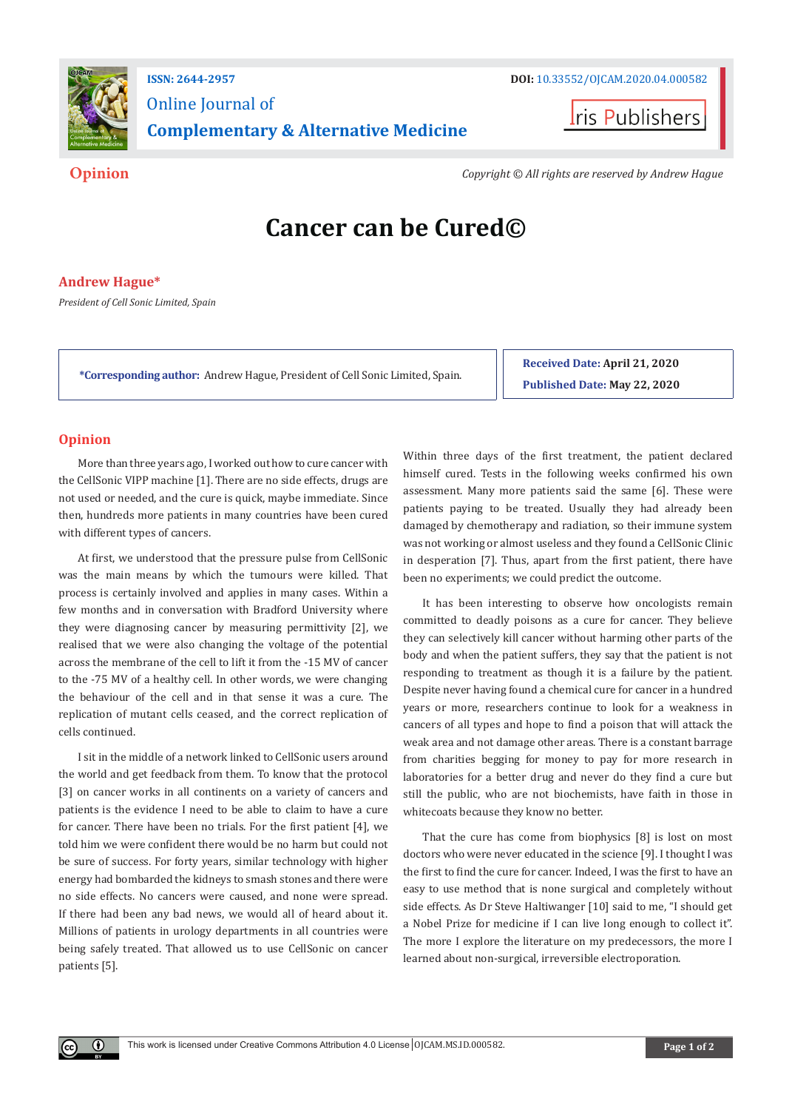

# Online Journal of **Complementary & Alternative Medicine**



**Opinion** *Copyright © All rights are reserved by Andrew Hague*

# **Cancer can be Cured©**

# **Andrew Hague\***

*President of Cell Sonic Limited, Spain*

**\*Corresponding author:** Andrew Hague, President of Cell Sonic Limited, Spain.

**Received Date: April 21, 2020 Published Date: May 22, 2020**

## **Opinion**

 $\left( \mathbf{r} \right)$ 

More than three years ago, I worked out how to cure cancer with the CellSonic VIPP machine [1]. There are no side effects, drugs are not used or needed, and the cure is quick, maybe immediate. Since then, hundreds more patients in many countries have been cured with different types of cancers.

At first, we understood that the pressure pulse from CellSonic was the main means by which the tumours were killed. That process is certainly involved and applies in many cases. Within a few months and in conversation with Bradford University where they were diagnosing cancer by measuring permittivity [2], we realised that we were also changing the voltage of the potential across the membrane of the cell to lift it from the -15 MV of cancer to the -75 MV of a healthy cell. In other words, we were changing the behaviour of the cell and in that sense it was a cure. The replication of mutant cells ceased, and the correct replication of cells continued.

I sit in the middle of a network linked to CellSonic users around the world and get feedback from them. To know that the protocol [3] on cancer works in all continents on a variety of cancers and patients is the evidence I need to be able to claim to have a cure for cancer. There have been no trials. For the first patient [4], we told him we were confident there would be no harm but could not be sure of success. For forty years, similar technology with higher energy had bombarded the kidneys to smash stones and there were no side effects. No cancers were caused, and none were spread. If there had been any bad news, we would all of heard about it. Millions of patients in urology departments in all countries were being safely treated. That allowed us to use CellSonic on cancer patients [5].

Within three days of the first treatment, the patient declared himself cured. Tests in the following weeks confirmed his own assessment. Many more patients said the same [6]. These were patients paying to be treated. Usually they had already been damaged by chemotherapy and radiation, so their immune system was not working or almost useless and they found a CellSonic Clinic in desperation [7]. Thus, apart from the first patient, there have been no experiments; we could predict the outcome.

It has been interesting to observe how oncologists remain committed to deadly poisons as a cure for cancer. They believe they can selectively kill cancer without harming other parts of the body and when the patient suffers, they say that the patient is not responding to treatment as though it is a failure by the patient. Despite never having found a chemical cure for cancer in a hundred years or more, researchers continue to look for a weakness in cancers of all types and hope to find a poison that will attack the weak area and not damage other areas. There is a constant barrage from charities begging for money to pay for more research in laboratories for a better drug and never do they find a cure but still the public, who are not biochemists, have faith in those in whitecoats because they know no better.

That the cure has come from biophysics [8] is lost on most doctors who were never educated in the science [9]. I thought I was the first to find the cure for cancer. Indeed, I was the first to have an easy to use method that is none surgical and completely without side effects. As Dr Steve Haltiwanger [10] said to me, "I should get a Nobel Prize for medicine if I can live long enough to collect it". The more I explore the literature on my predecessors, the more I learned about non-surgical, irreversible electroporation.